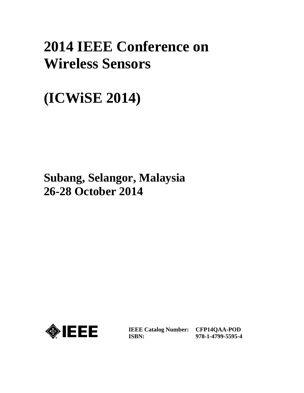## **2014 IEEE Conference on Wireless Sensors**

# **(ICWiSE 2014)**

### **Subang, Selangor, Malaysia 26-28 October 2014**



**IEEE Catalog Number: CFP14QAA-POD ISBN:** 

**978-1-4799-5595-4**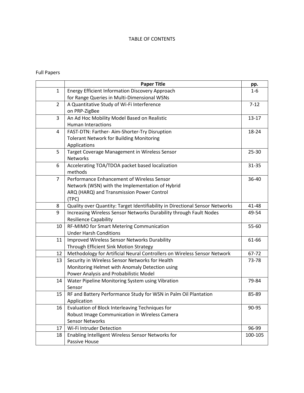#### TABLE OF CONTENTS

### Full Papers

|                | <b>Paper Title</b>                                                           | pp.       |
|----------------|------------------------------------------------------------------------------|-----------|
| $\mathbf{1}$   | Energy Efficient Information Discovery Approach                              | $1 - 6$   |
|                | for Range Queries in Multi-Dimensional WSNs                                  |           |
| $\overline{2}$ | A Quantitative Study of Wi-Fi Interference                                   | $7 - 12$  |
|                | on PRP-ZigBee                                                                |           |
| $\overline{3}$ | An Ad Hoc Mobility Model Based on Realistic                                  | $13 - 17$ |
|                | <b>Human Interactions</b>                                                    |           |
| 4              | FAST-DTN: Farther- Aim-Shorter-Try Disruption                                | 18-24     |
|                | <b>Tolerant Network for Building Monitoring</b>                              |           |
|                | Applications                                                                 |           |
| 5              | Target Coverage Management in Wireless Sensor                                | 25-30     |
|                | <b>Networks</b>                                                              |           |
| 6              | Accelerating TOA/TDOA packet based localization                              | $31 - 35$ |
|                | methods                                                                      |           |
| $\overline{7}$ | Performance Enhancement of Wireless Sensor                                   | 36-40     |
|                | Network (WSN) with the Implementation of Hybrid                              |           |
|                | ARQ (HARQ) and Transmission Power Control                                    |           |
|                | (TPC)                                                                        |           |
| 8              | Quality over Quantity: Target Identifiability in Directional Sensor Networks | 41-48     |
| 9              | Increasing Wireless Sensor Networks Durability through Fault Nodes           | 49-54     |
|                | <b>Resilience Capability</b>                                                 |           |
| 10             | RF-MIMO for Smart Metering Communication                                     | 55-60     |
|                | <b>Under Harsh Conditions</b>                                                |           |
| 11             | Improved Wireless Sensor Networks Durability                                 | 61-66     |
|                | Through Efficient Sink Motion Strategy                                       |           |
| 12             | Methodology for Artificial Neural Controllers on Wireless Sensor Network     | 67-72     |
| 13             | Security in Wireless Sensor Networks for Health                              | 73-78     |
|                | Monitoring Helmet with Anomaly Detection using                               |           |
|                | Power Analysis and Probabilistic Model                                       |           |
| 14             | Water Pipeline Monitoring System using Vibration                             | 79-84     |
|                | Sensor                                                                       |           |
| 15             | RF and Battery Performance Study for WSN in Palm Oil Plantation              | 85-89     |
|                | Application                                                                  |           |
| 16             | Evaluation of Block Interleaving Techniques for                              | 90-95     |
|                | Robust Image Communication in Wireless Camera                                |           |
|                | <b>Sensor Networks</b>                                                       |           |
| 17             | Wi-Fi Intruder Detection                                                     | 96-99     |
| 18             | Enabling Intelligent Wireless Sensor Networks for                            | 100-105   |
|                | Passive House                                                                |           |